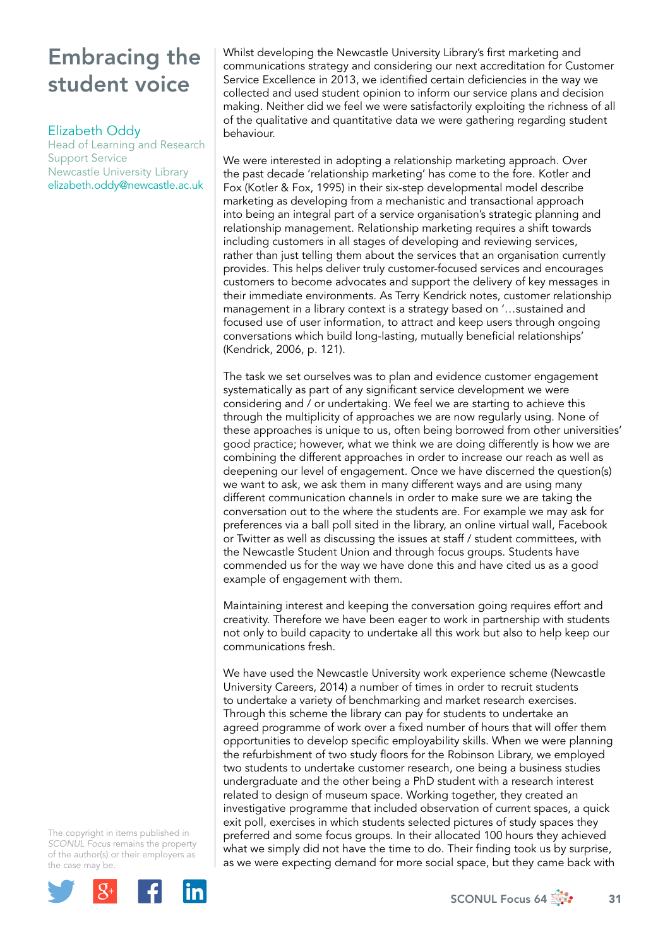# Embracing the student voice

### Elizabeth Oddy

Head of Learning and Research Support Service Newcastle University Library elizabeth.oddy@newcastle.ac.uk

Whilst developing the Newcastle University Library's first marketing and communications strategy and considering our next accreditation for Customer Service Excellence in 2013, we identified certain deficiencies in the way we collected and used student opinion to inform our service plans and decision making. Neither did we feel we were satisfactorily exploiting the richness of all of the qualitative and quantitative data we were gathering regarding student behaviour.

We were interested in adopting a relationship marketing approach. Over the past decade 'relationship marketing' has come to the fore. Kotler and Fox (Kotler & Fox, 1995) in their six-step developmental model describe marketing as developing from a mechanistic and transactional approach into being an integral part of a service organisation's strategic planning and relationship management. Relationship marketing requires a shift towards including customers in all stages of developing and reviewing services, rather than just telling them about the services that an organisation currently provides. This helps deliver truly customer-focused services and encourages customers to become advocates and support the delivery of key messages in their immediate environments. As Terry Kendrick notes, customer relationship management in a library context is a strategy based on '…sustained and focused use of user information, to attract and keep users through ongoing conversations which build long-lasting, mutually beneficial relationships' (Kendrick, 2006, p. 121).

The task we set ourselves was to plan and evidence customer engagement systematically as part of any significant service development we were considering and / or undertaking. We feel we are starting to achieve this through the multiplicity of approaches we are now regularly using. None of these approaches is unique to us, often being borrowed from other universities' good practice; however, what we think we are doing differently is how we are combining the different approaches in order to increase our reach as well as deepening our level of engagement. Once we have discerned the question(s) we want to ask, we ask them in many different ways and are using many different communication channels in order to make sure we are taking the conversation out to the where the students are. For example we may ask for preferences via a ball poll sited in the library, an online virtual wall, Facebook or Twitter as well as discussing the issues at staff / student committees, with the Newcastle Student Union and through focus groups. Students have commended us for the way we have done this and have cited us as a good example of engagement with them.

Maintaining interest and keeping the conversation going requires effort and creativity. Therefore we have been eager to work in partnership with students not only to build capacity to undertake all this work but also to help keep our communications fresh.

We have used the Newcastle University work experience scheme (Newcastle University Careers, 2014) a number of times in order to recruit students to undertake a variety of benchmarking and market research exercises. Through this scheme the library can pay for students to undertake an agreed programme of work over a fixed number of hours that will offer them opportunities to develop specific employability skills. When we were planning the refurbishment of two study floors for the Robinson Library, we employed two students to undertake customer research, one being a business studies undergraduate and the other being a PhD student with a research interest related to design of museum space. Working together, they created an investigative programme that included observation of current spaces, a quick exit poll, exercises in which students selected pictures of study spaces they preferred and some focus groups. In their allocated 100 hours they achieved what we simply did not have the time to do. Their finding took us by surprise, as we were expecting demand for more social space, but they came back with

The copyright in items published in *SCONUL Focus* remains the property of the author(s) or their employers as the case m[ay be.](http://plus.google.com/share?url=http://www.sconul.ac.uk/page/focus-64)

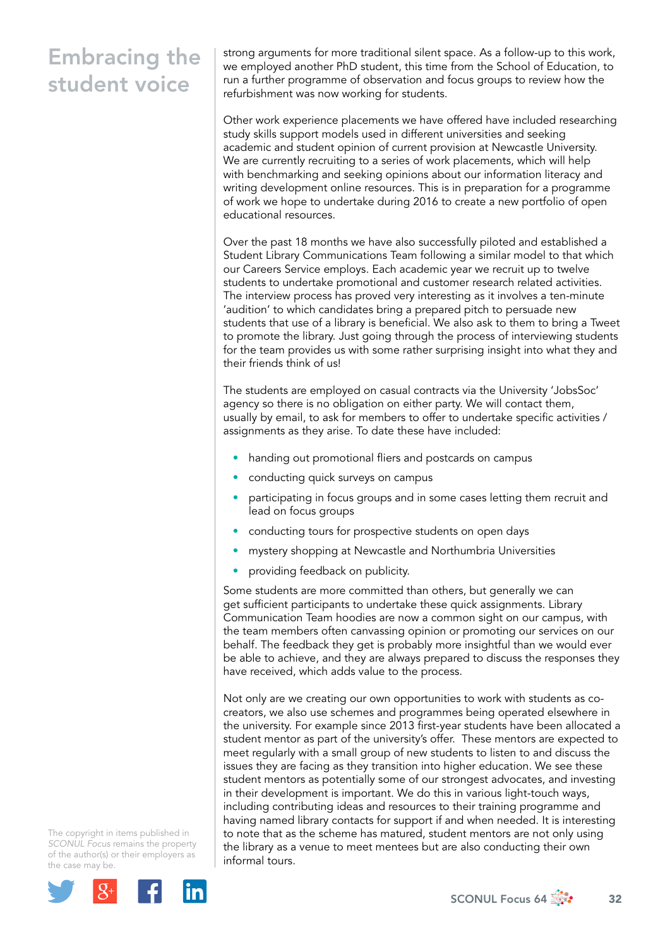## Embracing the student voice

strong arguments for more traditional silent space. As a follow-up to this work, we employed another PhD student, this time from the School of Education, to run a further programme of observation and focus groups to review how the refurbishment was now working for students.

Other work experience placements we have offered have included researching study skills support models used in different universities and seeking academic and student opinion of current provision at Newcastle University. We are currently recruiting to a series of work placements, which will help with benchmarking and seeking opinions about our information literacy and writing development online resources. This is in preparation for a programme of work we hope to undertake during 2016 to create a new portfolio of open educational resources.

Over the past 18 months we have also successfully piloted and established a Student Library Communications Team following a similar model to that which our Careers Service employs. Each academic year we recruit up to twelve students to undertake promotional and customer research related activities. The interview process has proved very interesting as it involves a ten-minute 'audition' to which candidates bring a prepared pitch to persuade new students that use of a library is beneficial. We also ask to them to bring a Tweet to promote the library. Just going through the process of interviewing students for the team provides us with some rather surprising insight into what they and their friends think of us!

The students are employed on casual contracts via the University 'JobsSoc' agency so there is no obligation on either party. We will contact them, usually by email, to ask for members to offer to undertake specific activities / assignments as they arise. To date these have included:

- handing out promotional fliers and postcards on campus
- conducting quick surveys on campus
- participating in focus groups and in some cases letting them recruit and lead on focus groups
- conducting tours for prospective students on open days
- mystery shopping at Newcastle and Northumbria Universities
- providing feedback on publicity.

Some students are more committed than others, but generally we can get sufficient participants to undertake these quick assignments. Library Communication Team hoodies are now a common sight on our campus, with the team members often canvassing opinion or promoting our services on our behalf. The feedback they get is probably more insightful than we would ever be able to achieve, and they are always prepared to discuss the responses they have received, which adds value to the process.

Not only are we creating our own opportunities to work with students as cocreators, we also use schemes and programmes being operated elsewhere in the university. For example since 2013 first-year students have been allocated a student mentor as part of the university's offer. These mentors are expected to meet regularly with a small group of new students to listen to and discuss the issues they are facing as they transition into higher education. We see these student mentors as potentially some of our strongest advocates, and investing in their development is important. We do this in various light-touch ways, including contributing ideas and resources to their training programme and having named library contacts for support if and when needed. It is interesting to note that as the scheme has matured, student mentors are not only using the library as a venue to meet mentees but are also conducting their own informal tours.

The copyright in items published in *SCONUL Focus* remains the property of the author(s) or their employers as the case m[ay be.](http://plus.google.com/share?url=http://www.sconul.ac.uk/page/focus-64)